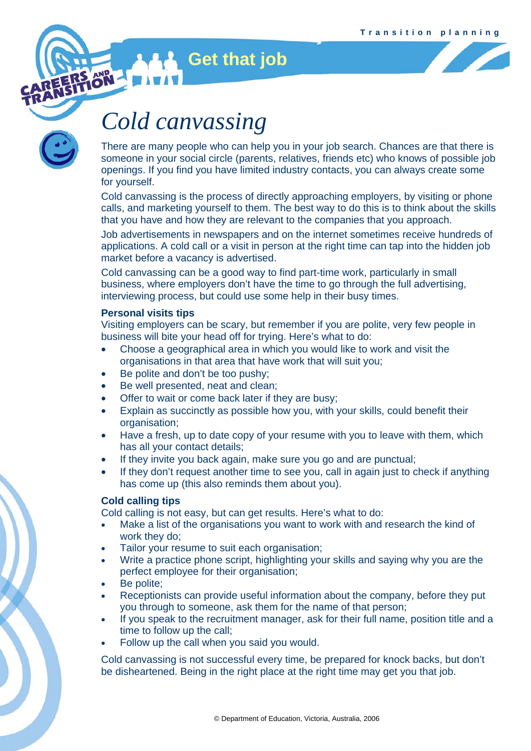

## *Cold canvassing*

**Get that job** 

There are many people who can help you in your job search. Chances are that there is someone in your social circle (parents, relatives, friends etc) who knows of possible job openings. If you find you have limited industry contacts, you can always create some for yourself.

Cold canvassing is the process of directly approaching employers, by visiting or phone calls, and marketing yourself to them. The best way to do this is to think about the skills that you have and how they are relevant to the companies that you approach.

Job advertisements in newspapers and on the internet sometimes receive hundreds of applications. A cold call or a visit in person at the right time can tap into the hidden job market before a vacancy is advertised.

Cold canvassing can be a good way to find part-time work, particularly in small business, where employers don't have the time to go through the full advertising, interviewing process, but could use some help in their busy times.

### **Personal visits tips**

Visiting employers can be scary, but remember if you are polite, very few people in business will bite your head off for trying. Here's what to do:

- Choose a geographical area in which you would like to work and visit the organisations in that area that have work that will suit you;
- Be polite and don't be too pushy;
- Be well presented, neat and clean:
- Offer to wait or come back later if they are busy;
- Explain as succinctly as possible how you, with your skills, could benefit their organisation;
- Have a fresh, up to date copy of your resume with you to leave with them, which has all your contact details;
- If they invite you back again, make sure you go and are punctual;
- If they don't request another time to see you, call in again just to check if anything has come up (this also reminds them about you).

## **Cold calling tips**

Cold calling is not easy, but can get results. Here's what to do:

- Make a list of the organisations you want to work with and research the kind of work they do;
- Tailor your resume to suit each organisation;
- Write a practice phone script, highlighting your skills and saying why you are the perfect employee for their organisation;
- Be polite:
- Receptionists can provide useful information about the company, before they put you through to someone, ask them for the name of that person;
- If you speak to the recruitment manager, ask for their full name, position title and a time to follow up the call;
- Follow up the call when you said you would.

Cold canvassing is not successful every time, be prepared for knock backs, but don't be disheartened. Being in the right place at the right time may get you that job.